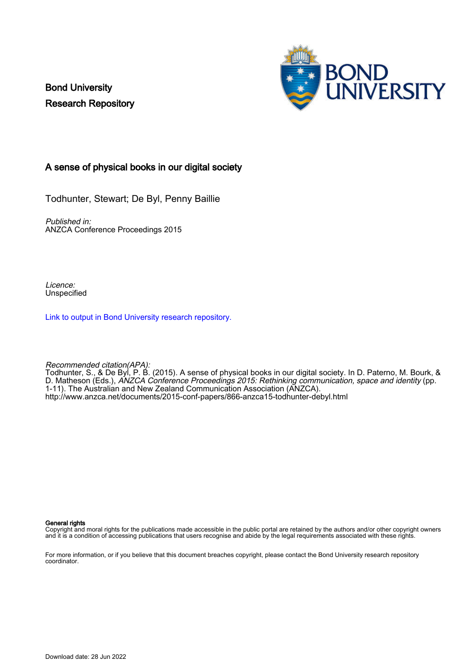Bond University Research Repository



#### A sense of physical books in our digital society

Todhunter, Stewart; De Byl, Penny Baillie

Published in: ANZCA Conference Proceedings 2015

Licence: Unspecified

[Link to output in Bond University research repository.](https://research.bond.edu.au/en/publications/5e682025-5028-4caf-b4da-7b1d4baad140)

Recommended citation(APA): Todhunter, S., & De Byl, P. B. (2015). A sense of physical books in our digital society. In D. Paterno, M. Bourk, & D. Matheson (Eds.), ANZCA Conference Proceedings 2015: Rethinking communication, space and identity (pp. 1-11). The Australian and New Zealand Communication Association (ANZCA). <http://www.anzca.net/documents/2015-conf-papers/866-anzca15-todhunter-debyl.html>

#### General rights

Copyright and moral rights for the publications made accessible in the public portal are retained by the authors and/or other copyright owners and it is a condition of accessing publications that users recognise and abide by the legal requirements associated with these rights.

For more information, or if you believe that this document breaches copyright, please contact the Bond University research repository coordinator.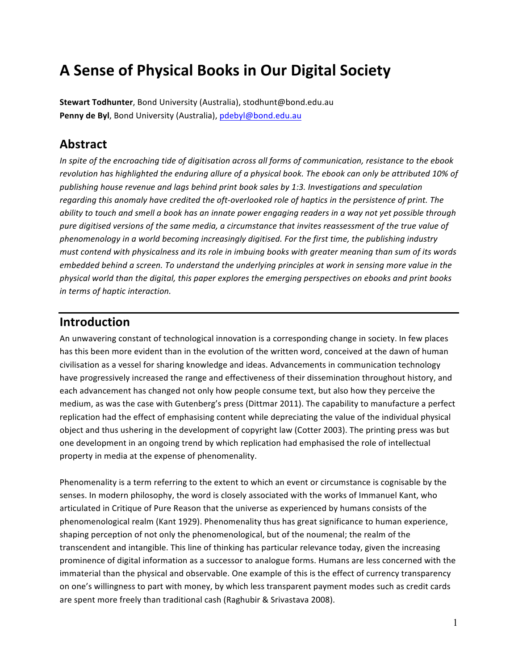# **A Sense of Physical Books in Our Digital Society**

**Stewart Todhunter**, Bond University (Australia), stodhunt@bond.edu.au Penny de Byl, Bond University (Australia), pdebyl@bond.edu.au

## **Abstract**

In spite of the encroaching tide of digitisation across all forms of communication, resistance to the ebook revolution has highlighted the enduring allure of a physical book. The ebook can only be attributed 10% of publishing house revenue and lags behind print book sales by 1:3. Investigations and speculation regarding this anomaly have credited the oft-overlooked role of haptics in the persistence of print. The *ability* to touch and smell a book has an innate power engaging readers in a way not yet possible through pure digitised versions of the same media, a circumstance that invites reassessment of the true value of phenomenology in a world becoming increasingly digitised. For the first time, the publishing industry *must contend with physicalness and its role in imbuing books with greater meaning than sum of its words embedded behind a screen. To understand the underlying principles at work in sensing more value in the physical world than the digital, this paper explores the emerging perspectives on ebooks and print books in terms of haptic interaction.*

#### **Introduction**

An unwavering constant of technological innovation is a corresponding change in society. In few places has this been more evident than in the evolution of the written word, conceived at the dawn of human civilisation as a vessel for sharing knowledge and ideas. Advancements in communication technology have progressively increased the range and effectiveness of their dissemination throughout history, and each advancement has changed not only how people consume text, but also how they perceive the medium, as was the case with Gutenberg's press (Dittmar 2011). The capability to manufacture a perfect replication had the effect of emphasising content while depreciating the value of the individual physical object and thus ushering in the development of copyright law (Cotter 2003). The printing press was but one development in an ongoing trend by which replication had emphasised the role of intellectual property in media at the expense of phenomenality.

Phenomenality is a term referring to the extent to which an event or circumstance is cognisable by the senses. In modern philosophy, the word is closely associated with the works of Immanuel Kant, who articulated in Critique of Pure Reason that the universe as experienced by humans consists of the phenomenological realm (Kant 1929). Phenomenality thus has great significance to human experience, shaping perception of not only the phenomenological, but of the noumenal; the realm of the transcendent and intangible. This line of thinking has particular relevance today, given the increasing prominence of digital information as a successor to analogue forms. Humans are less concerned with the immaterial than the physical and observable. One example of this is the effect of currency transparency on one's willingness to part with money, by which less transparent payment modes such as credit cards are spent more freely than traditional cash (Raghubir & Srivastava 2008).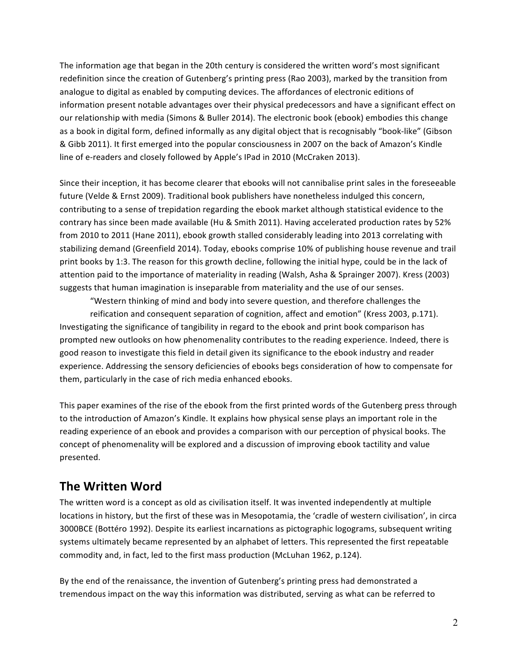The information age that began in the 20th century is considered the written word's most significant redefinition since the creation of Gutenberg's printing press (Rao 2003), marked by the transition from analogue to digital as enabled by computing devices. The affordances of electronic editions of information present notable advantages over their physical predecessors and have a significant effect on our relationship with media (Simons & Buller 2014). The electronic book (ebook) embodies this change as a book in digital form, defined informally as any digital object that is recognisably "book-like" (Gibson & Gibb 2011). It first emerged into the popular consciousness in 2007 on the back of Amazon's Kindle line of e-readers and closely followed by Apple's IPad in 2010 (McCraken 2013).

Since their inception, it has become clearer that ebooks will not cannibalise print sales in the foreseeable future (Velde & Ernst 2009). Traditional book publishers have nonetheless indulged this concern, contributing to a sense of trepidation regarding the ebook market although statistical evidence to the contrary has since been made available (Hu & Smith 2011). Having accelerated production rates by 52% from 2010 to 2011 (Hane 2011), ebook growth stalled considerably leading into 2013 correlating with stabilizing demand (Greenfield 2014). Today, ebooks comprise 10% of publishing house revenue and trail print books by 1:3. The reason for this growth decline, following the initial hype, could be in the lack of attention paid to the importance of materiality in reading (Walsh, Asha & Sprainger 2007). Kress (2003) suggests that human imagination is inseparable from materiality and the use of our senses.

"Western thinking of mind and body into severe question, and therefore challenges the reification and consequent separation of cognition, affect and emotion" (Kress 2003, p.171). Investigating the significance of tangibility in regard to the ebook and print book comparison has prompted new outlooks on how phenomenality contributes to the reading experience. Indeed, there is good reason to investigate this field in detail given its significance to the ebook industry and reader experience. Addressing the sensory deficiencies of ebooks begs consideration of how to compensate for them, particularly in the case of rich media enhanced ebooks.

This paper examines of the rise of the ebook from the first printed words of the Gutenberg press through to the introduction of Amazon's Kindle. It explains how physical sense plays an important role in the reading experience of an ebook and provides a comparison with our perception of physical books. The concept of phenomenality will be explored and a discussion of improving ebook tactility and value presented.

#### **The Written Word**

The written word is a concept as old as civilisation itself. It was invented independently at multiple locations in history, but the first of these was in Mesopotamia, the 'cradle of western civilisation', in circa 3000BCE (Bottéro 1992). Despite its earliest incarnations as pictographic logograms, subsequent writing systems ultimately became represented by an alphabet of letters. This represented the first repeatable commodity and, in fact, led to the first mass production (McLuhan 1962, p.124).

By the end of the renaissance, the invention of Gutenberg's printing press had demonstrated a tremendous impact on the way this information was distributed, serving as what can be referred to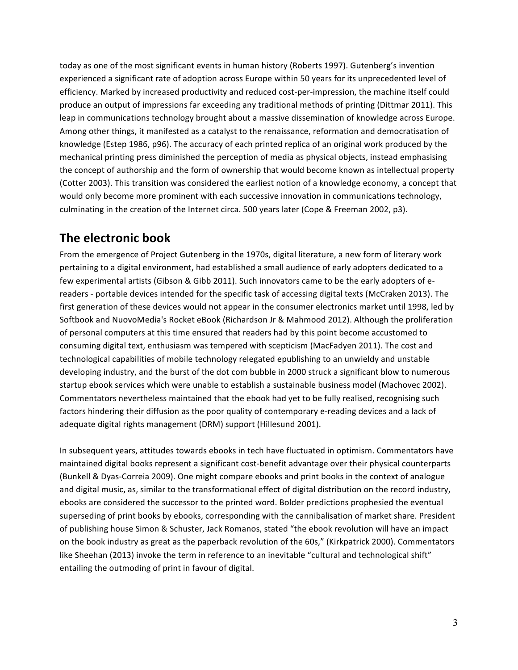today as one of the most significant events in human history (Roberts 1997). Gutenberg's invention experienced a significant rate of adoption across Europe within 50 years for its unprecedented level of efficiency. Marked by increased productivity and reduced cost-per-impression, the machine itself could produce an output of impressions far exceeding any traditional methods of printing (Dittmar 2011). This leap in communications technology brought about a massive dissemination of knowledge across Europe. Among other things, it manifested as a catalyst to the renaissance, reformation and democratisation of knowledge (Estep 1986, p96). The accuracy of each printed replica of an original work produced by the mechanical printing press diminished the perception of media as physical objects, instead emphasising the concept of authorship and the form of ownership that would become known as intellectual property (Cotter 2003). This transition was considered the earliest notion of a knowledge economy, a concept that would only become more prominent with each successive innovation in communications technology, culminating in the creation of the Internet circa. 500 years later (Cope & Freeman 2002, p3).

#### **The electronic book**

From the emergence of Project Gutenberg in the 1970s, digital literature, a new form of literary work pertaining to a digital environment, had established a small audience of early adopters dedicated to a few experimental artists (Gibson & Gibb 2011). Such innovators came to be the early adopters of ereaders - portable devices intended for the specific task of accessing digital texts (McCraken 2013). The first generation of these devices would not appear in the consumer electronics market until 1998, led by Softbook and NuovoMedia's Rocket eBook (Richardson Jr & Mahmood 2012). Although the proliferation of personal computers at this time ensured that readers had by this point become accustomed to consuming digital text, enthusiasm was tempered with scepticism (MacFadyen 2011). The cost and technological capabilities of mobile technology relegated epublishing to an unwieldy and unstable developing industry, and the burst of the dot com bubble in 2000 struck a significant blow to numerous startup ebook services which were unable to establish a sustainable business model (Machovec 2002). Commentators nevertheless maintained that the ebook had yet to be fully realised, recognising such factors hindering their diffusion as the poor quality of contemporary e-reading devices and a lack of adequate digital rights management (DRM) support (Hillesund 2001).

In subsequent years, attitudes towards ebooks in tech have fluctuated in optimism. Commentators have maintained digital books represent a significant cost-benefit advantage over their physical counterparts (Bunkell & Dyas-Correia 2009). One might compare ebooks and print books in the context of analogue and digital music, as, similar to the transformational effect of digital distribution on the record industry, ebooks are considered the successor to the printed word. Bolder predictions prophesied the eventual superseding of print books by ebooks, corresponding with the cannibalisation of market share. President of publishing house Simon & Schuster, Jack Romanos, stated "the ebook revolution will have an impact on the book industry as great as the paperback revolution of the 60s," (Kirkpatrick 2000). Commentators like Sheehan (2013) invoke the term in reference to an inevitable "cultural and technological shift" entailing the outmoding of print in favour of digital.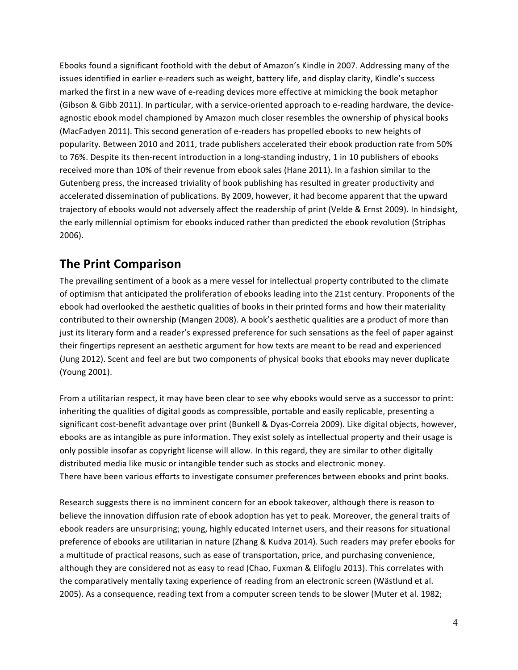Ebooks found a significant foothold with the debut of Amazon's Kindle in 2007. Addressing many of the issues identified in earlier e-readers such as weight, battery life, and display clarity, Kindle's success marked the first in a new wave of e-reading devices more effective at mimicking the book metaphor (Gibson & Gibb 2011). In particular, with a service-oriented approach to e-reading hardware, the deviceagnostic ebook model championed by Amazon much closer resembles the ownership of physical books (MacFadyen 2011). This second generation of e-readers has propelled ebooks to new heights of popularity. Between 2010 and 2011, trade publishers accelerated their ebook production rate from 50% to 76%. Despite its then-recent introduction in a long-standing industry, 1 in 10 publishers of ebooks received more than 10% of their revenue from ebook sales (Hane 2011). In a fashion similar to the Gutenberg press, the increased triviality of book publishing has resulted in greater productivity and accelerated dissemination of publications. By 2009, however, it had become apparent that the upward trajectory of ebooks would not adversely affect the readership of print (Velde & Ernst 2009). In hindsight, the early millennial optimism for ebooks induced rather than predicted the ebook revolution (Striphas 2006).

## **The Print Comparison**

The prevailing sentiment of a book as a mere vessel for intellectual property contributed to the climate of optimism that anticipated the proliferation of ebooks leading into the 21st century. Proponents of the ebook had overlooked the aesthetic qualities of books in their printed forms and how their materiality contributed to their ownership (Mangen 2008). A book's aesthetic qualities are a product of more than just its literary form and a reader's expressed preference for such sensations as the feel of paper against their fingertips represent an aesthetic argument for how texts are meant to be read and experienced (Jung 2012). Scent and feel are but two components of physical books that ebooks may never duplicate (Young 2001).

From a utilitarian respect, it may have been clear to see why ebooks would serve as a successor to print: inheriting the qualities of digital goods as compressible, portable and easily replicable, presenting a significant cost-benefit advantage over print (Bunkell & Dyas-Correia 2009). Like digital objects, however, ebooks are as intangible as pure information. They exist solely as intellectual property and their usage is only possible insofar as copyright license will allow. In this regard, they are similar to other digitally distributed media like music or intangible tender such as stocks and electronic money. There have been various efforts to investigate consumer preferences between ebooks and print books.

Research suggests there is no imminent concern for an ebook takeover, although there is reason to believe the innovation diffusion rate of ebook adoption has yet to peak. Moreover, the general traits of ebook readers are unsurprising; young, highly educated Internet users, and their reasons for situational preference of ebooks are utilitarian in nature (Zhang & Kudva 2014). Such readers may prefer ebooks for a multitude of practical reasons, such as ease of transportation, price, and purchasing convenience, although they are considered not as easy to read (Chao, Fuxman & Elifoglu 2013). This correlates with the comparatively mentally taxing experience of reading from an electronic screen (Wästlund et al. 2005). As a consequence, reading text from a computer screen tends to be slower (Muter et al. 1982;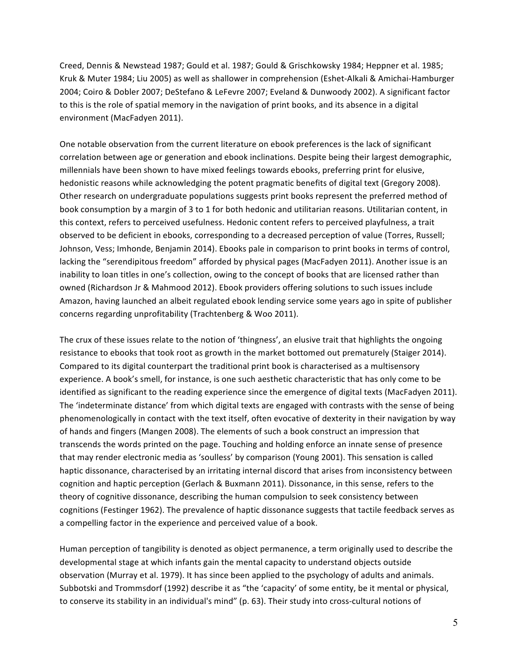Creed, Dennis & Newstead 1987; Gould et al. 1987; Gould & Grischkowsky 1984; Heppner et al. 1985; Kruk & Muter 1984; Liu 2005) as well as shallower in comprehension (Eshet-Alkali & Amichai-Hamburger 2004; Coiro & Dobler 2007; DeStefano & LeFevre 2007; Eveland & Dunwoody 2002). A significant factor to this is the role of spatial memory in the navigation of print books, and its absence in a digital environment (MacFadyen 2011).

One notable observation from the current literature on ebook preferences is the lack of significant correlation between age or generation and ebook inclinations. Despite being their largest demographic, millennials have been shown to have mixed feelings towards ebooks, preferring print for elusive, hedonistic reasons while acknowledging the potent pragmatic benefits of digital text (Gregory 2008). Other research on undergraduate populations suggests print books represent the preferred method of book consumption by a margin of 3 to 1 for both hedonic and utilitarian reasons. Utilitarian content, in this context, refers to perceived usefulness. Hedonic content refers to perceived playfulness, a trait observed to be deficient in ebooks, corresponding to a decreased perception of value (Torres, Russell; Johnson, Vess; Imhonde, Benjamin 2014). Ebooks pale in comparison to print books in terms of control, lacking the "serendipitous freedom" afforded by physical pages (MacFadyen 2011). Another issue is an inability to loan titles in one's collection, owing to the concept of books that are licensed rather than owned (Richardson Jr & Mahmood 2012). Ebook providers offering solutions to such issues include Amazon, having launched an albeit regulated ebook lending service some years ago in spite of publisher concerns regarding unprofitability (Trachtenberg & Woo 2011).

The crux of these issues relate to the notion of 'thingness', an elusive trait that highlights the ongoing resistance to ebooks that took root as growth in the market bottomed out prematurely (Staiger 2014). Compared to its digital counterpart the traditional print book is characterised as a multisensory experience. A book's smell, for instance, is one such aesthetic characteristic that has only come to be identified as significant to the reading experience since the emergence of digital texts (MacFadyen 2011). The 'indeterminate distance' from which digital texts are engaged with contrasts with the sense of being phenomenologically in contact with the text itself, often evocative of dexterity in their navigation by way of hands and fingers (Mangen 2008). The elements of such a book construct an impression that transcends the words printed on the page. Touching and holding enforce an innate sense of presence that may render electronic media as 'soulless' by comparison (Young 2001). This sensation is called haptic dissonance, characterised by an irritating internal discord that arises from inconsistency between cognition and haptic perception (Gerlach & Buxmann 2011). Dissonance, in this sense, refers to the theory of cognitive dissonance, describing the human compulsion to seek consistency between cognitions (Festinger 1962). The prevalence of haptic dissonance suggests that tactile feedback serves as a compelling factor in the experience and perceived value of a book.

Human perception of tangibility is denoted as object permanence, a term originally used to describe the developmental stage at which infants gain the mental capacity to understand objects outside observation (Murray et al. 1979). It has since been applied to the psychology of adults and animals. Subbotski and Trommsdorf (1992) describe it as "the 'capacity' of some entity, be it mental or physical, to conserve its stability in an individual's mind" (p. 63). Their study into cross-cultural notions of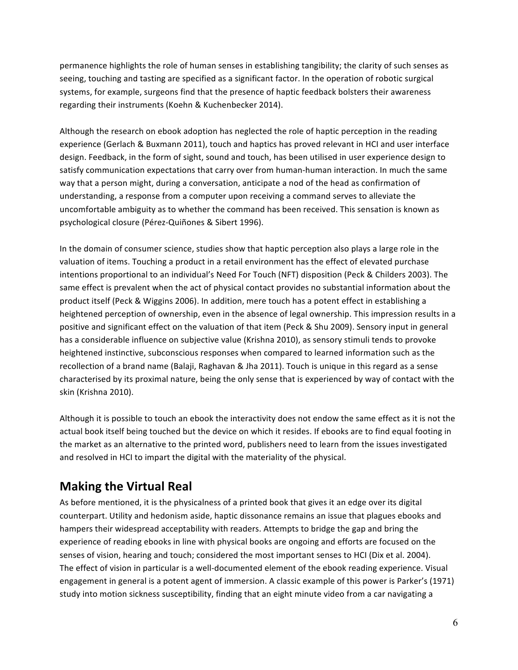permanence highlights the role of human senses in establishing tangibility; the clarity of such senses as seeing, touching and tasting are specified as a significant factor. In the operation of robotic surgical systems, for example, surgeons find that the presence of haptic feedback bolsters their awareness regarding their instruments (Koehn & Kuchenbecker 2014).

Although the research on ebook adoption has neglected the role of haptic perception in the reading experience (Gerlach & Buxmann 2011), touch and haptics has proved relevant in HCI and user interface design. Feedback, in the form of sight, sound and touch, has been utilised in user experience design to satisfy communication expectations that carry over from human-human interaction. In much the same way that a person might, during a conversation, anticipate a nod of the head as confirmation of understanding, a response from a computer upon receiving a command serves to alleviate the uncomfortable ambiguity as to whether the command has been received. This sensation is known as psychological closure (Pérez-Quiñones & Sibert 1996).

In the domain of consumer science, studies show that haptic perception also plays a large role in the valuation of items. Touching a product in a retail environment has the effect of elevated purchase intentions proportional to an individual's Need For Touch (NFT) disposition (Peck & Childers 2003). The same effect is prevalent when the act of physical contact provides no substantial information about the product itself (Peck & Wiggins 2006). In addition, mere touch has a potent effect in establishing a heightened perception of ownership, even in the absence of legal ownership. This impression results in a positive and significant effect on the valuation of that item (Peck & Shu 2009). Sensory input in general has a considerable influence on subjective value (Krishna 2010), as sensory stimuli tends to provoke heightened instinctive, subconscious responses when compared to learned information such as the recollection of a brand name (Balaji, Raghavan & Jha 2011). Touch is unique in this regard as a sense characterised by its proximal nature, being the only sense that is experienced by way of contact with the skin (Krishna 2010).

Although it is possible to touch an ebook the interactivity does not endow the same effect as it is not the actual book itself being touched but the device on which it resides. If ebooks are to find equal footing in the market as an alternative to the printed word, publishers need to learn from the issues investigated and resolved in HCI to impart the digital with the materiality of the physical.

#### **Making the Virtual Real**

As before mentioned, it is the physicalness of a printed book that gives it an edge over its digital counterpart. Utility and hedonism aside, haptic dissonance remains an issue that plagues ebooks and hampers their widespread acceptability with readers. Attempts to bridge the gap and bring the experience of reading ebooks in line with physical books are ongoing and efforts are focused on the senses of vision, hearing and touch; considered the most important senses to HCI (Dix et al. 2004). The effect of vision in particular is a well-documented element of the ebook reading experience. Visual engagement in general is a potent agent of immersion. A classic example of this power is Parker's (1971) study into motion sickness susceptibility, finding that an eight minute video from a car navigating a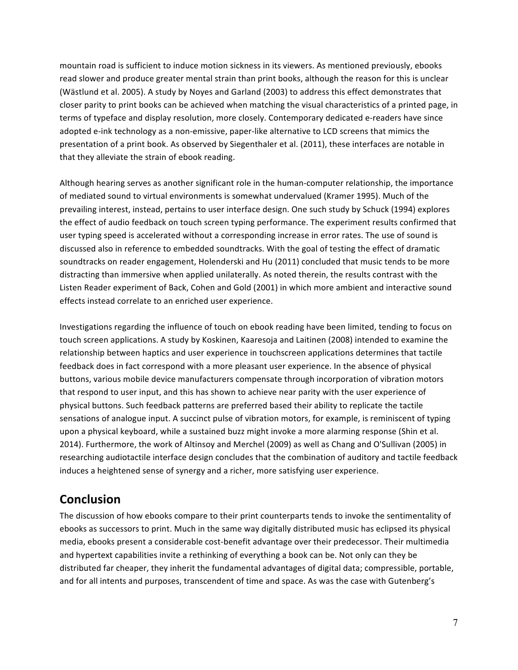mountain road is sufficient to induce motion sickness in its viewers. As mentioned previously, ebooks read slower and produce greater mental strain than print books, although the reason for this is unclear (Wästlund et al. 2005). A study by Noyes and Garland (2003) to address this effect demonstrates that closer parity to print books can be achieved when matching the visual characteristics of a printed page, in terms of typeface and display resolution, more closely. Contemporary dedicated e-readers have since adopted e-ink technology as a non-emissive, paper-like alternative to LCD screens that mimics the presentation of a print book. As observed by Siegenthaler et al. (2011), these interfaces are notable in that they alleviate the strain of ebook reading.

Although hearing serves as another significant role in the human-computer relationship, the importance of mediated sound to virtual environments is somewhat undervalued (Kramer 1995). Much of the prevailing interest, instead, pertains to user interface design. One such study by Schuck (1994) explores the effect of audio feedback on touch screen typing performance. The experiment results confirmed that user typing speed is accelerated without a corresponding increase in error rates. The use of sound is discussed also in reference to embedded soundtracks. With the goal of testing the effect of dramatic soundtracks on reader engagement, Holenderski and Hu (2011) concluded that music tends to be more distracting than immersive when applied unilaterally. As noted therein, the results contrast with the Listen Reader experiment of Back, Cohen and Gold (2001) in which more ambient and interactive sound effects instead correlate to an enriched user experience.

Investigations regarding the influence of touch on ebook reading have been limited, tending to focus on touch screen applications. A study by Koskinen, Kaaresoja and Laitinen (2008) intended to examine the relationship between haptics and user experience in touchscreen applications determines that tactile feedback does in fact correspond with a more pleasant user experience. In the absence of physical buttons, various mobile device manufacturers compensate through incorporation of vibration motors that respond to user input, and this has shown to achieve near parity with the user experience of physical buttons. Such feedback patterns are preferred based their ability to replicate the tactile sensations of analogue input. A succinct pulse of vibration motors, for example, is reminiscent of typing upon a physical keyboard, while a sustained buzz might invoke a more alarming response (Shin et al. 2014). Furthermore, the work of Altinsoy and Merchel (2009) as well as Chang and O'Sullivan (2005) in researching audiotactile interface design concludes that the combination of auditory and tactile feedback induces a heightened sense of synergy and a richer, more satisfying user experience.

#### **Conclusion**

The discussion of how ebooks compare to their print counterparts tends to invoke the sentimentality of ebooks as successors to print. Much in the same way digitally distributed music has eclipsed its physical media, ebooks present a considerable cost-benefit advantage over their predecessor. Their multimedia and hypertext capabilities invite a rethinking of everything a book can be. Not only can they be distributed far cheaper, they inherit the fundamental advantages of digital data; compressible, portable, and for all intents and purposes, transcendent of time and space. As was the case with Gutenberg's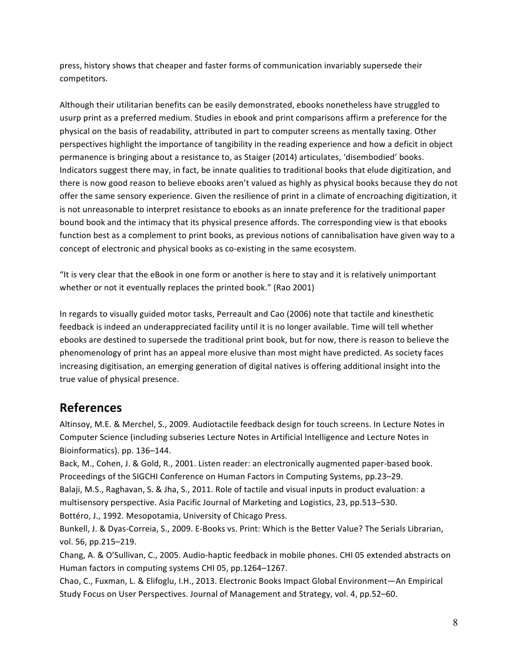press, history shows that cheaper and faster forms of communication invariably supersede their competitors.

Although their utilitarian benefits can be easily demonstrated, ebooks nonetheless have struggled to usurp print as a preferred medium. Studies in ebook and print comparisons affirm a preference for the physical on the basis of readability, attributed in part to computer screens as mentally taxing. Other perspectives highlight the importance of tangibility in the reading experience and how a deficit in object permanence is bringing about a resistance to, as Staiger (2014) articulates, 'disembodied' books. Indicators suggest there may, in fact, be innate qualities to traditional books that elude digitization, and there is now good reason to believe ebooks aren't valued as highly as physical books because they do not offer the same sensory experience. Given the resilience of print in a climate of encroaching digitization, it is not unreasonable to interpret resistance to ebooks as an innate preference for the traditional paper bound book and the intimacy that its physical presence affords. The corresponding view is that ebooks function best as a complement to print books, as previous notions of cannibalisation have given way to a concept of electronic and physical books as co-existing in the same ecosystem.

"It is very clear that the eBook in one form or another is here to stay and it is relatively unimportant whether or not it eventually replaces the printed book." (Rao 2001)

In regards to visually guided motor tasks, Perreault and Cao (2006) note that tactile and kinesthetic feedback is indeed an underappreciated facility until it is no longer available. Time will tell whether ebooks are destined to supersede the traditional print book, but for now, there is reason to believe the phenomenology of print has an appeal more elusive than most might have predicted. As society faces increasing digitisation, an emerging generation of digital natives is offering additional insight into the true value of physical presence.

#### **References**

Altinsoy, M.E. & Merchel, S., 2009. Audiotactile feedback design for touch screens. In Lecture Notes in Computer Science (including subseries Lecture Notes in Artificial Intelligence and Lecture Notes in Bioinformatics). pp. 136-144.

Back, M., Cohen, J. & Gold, R., 2001. Listen reader: an electronically augmented paper-based book. Proceedings of the SIGCHI Conference on Human Factors in Computing Systems, pp.23–29. Balaji, M.S., Raghavan, S. & Jha, S., 2011. Role of tactile and visual inputs in product evaluation: a multisensory perspective. Asia Pacific Journal of Marketing and Logistics, 23, pp.513-530.

Bottéro, J., 1992. Mesopotamia, University of Chicago Press.

Bunkell, J. & Dyas-Correia, S., 2009. E-Books vs. Print: Which is the Better Value? The Serials Librarian, vol. 56, pp.215–219.

Chang, A. & O'Sullivan, C., 2005. Audio-haptic feedback in mobile phones. CHI 05 extended abstracts on Human factors in computing systems CHI 05, pp.1264-1267.

Chao, C., Fuxman, L. & Elifoglu, I.H., 2013. Electronic Books Impact Global Environment—An Empirical Study Focus on User Perspectives. Journal of Management and Strategy, vol. 4, pp.52–60.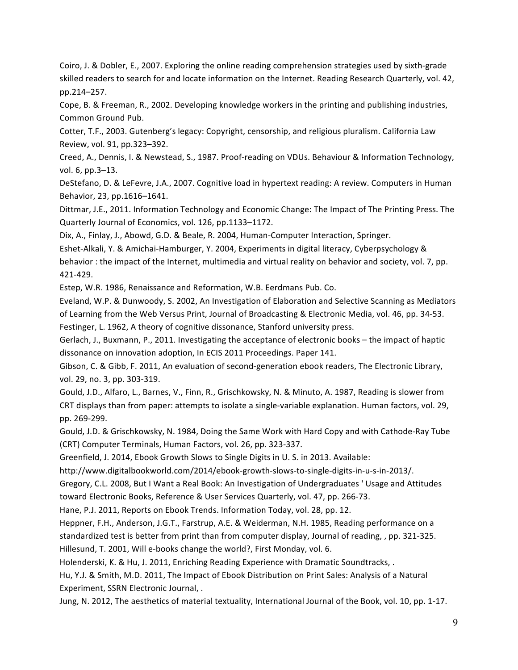Coiro, J. & Dobler, E., 2007. Exploring the online reading comprehension strategies used by sixth-grade skilled readers to search for and locate information on the Internet. Reading Research Quarterly, vol. 42, pp.214–257. 

Cope, B. & Freeman, R., 2002. Developing knowledge workers in the printing and publishing industries, Common Ground Pub.

Cotter, T.F., 2003. Gutenberg's legacy: Copyright, censorship, and religious pluralism. California Law Review, vol. 91, pp.323-392.

Creed, A., Dennis, I. & Newstead, S., 1987. Proof-reading on VDUs. Behaviour & Information Technology, vol. 6, pp.3-13.

DeStefano, D. & LeFevre, J.A., 2007. Cognitive load in hypertext reading: A review. Computers in Human Behavior, 23, pp.1616-1641.

Dittmar, J.E., 2011. Information Technology and Economic Change: The Impact of The Printing Press. The Quarterly Journal of Economics, vol. 126, pp.1133-1172.

Dix, A., Finlay, J., Abowd, G.D. & Beale, R. 2004, Human-Computer Interaction, Springer.

Eshet-Alkali, Y. & Amichai-Hamburger, Y. 2004, Experiments in digital literacy, Cyberpsychology & behavior : the impact of the Internet, multimedia and virtual reality on behavior and society, vol. 7, pp. 421-429.

Estep, W.R. 1986, Renaissance and Reformation, W.B. Eerdmans Pub. Co.

Eveland, W.P. & Dunwoody, S. 2002, An Investigation of Elaboration and Selective Scanning as Mediators of Learning from the Web Versus Print, Journal of Broadcasting & Electronic Media, vol. 46, pp. 34-53. Festinger, L. 1962, A theory of cognitive dissonance, Stanford university press.

Gerlach, J., Buxmann, P., 2011. Investigating the acceptance of electronic books - the impact of haptic dissonance on innovation adoption, In ECIS 2011 Proceedings. Paper 141.

Gibson, C. & Gibb, F. 2011, An evaluation of second-generation ebook readers, The Electronic Library, vol. 29, no. 3, pp. 303-319.

Gould, J.D., Alfaro, L., Barnes, V., Finn, R., Grischkowsky, N. & Minuto, A. 1987, Reading is slower from CRT displays than from paper: attempts to isolate a single-variable explanation. Human factors, vol. 29, pp. 269-299.

Gould, J.D. & Grischkowsky, N. 1984, Doing the Same Work with Hard Copy and with Cathode-Ray Tube (CRT) Computer Terminals, Human Factors, vol. 26, pp. 323-337.

Greenfield, J. 2014, Ebook Growth Slows to Single Digits in U.S. in 2013. Available:

http://www.digitalbookworld.com/2014/ebook-growth-slows-to-single-digits-in-u-s-in-2013/.

Gregory, C.L. 2008, But I Want a Real Book: An Investigation of Undergraduates ' Usage and Attitudes toward Electronic Books, Reference & User Services Quarterly, vol. 47, pp. 266-73.

Hane, P.J. 2011, Reports on Ebook Trends. Information Today, vol. 28, pp. 12.

Heppner, F.H., Anderson, J.G.T., Farstrup, A.E. & Weiderman, N.H. 1985, Reading performance on a standardized test is better from print than from computer display, Journal of reading, , pp. 321-325. Hillesund, T. 2001, Will e-books change the world?, First Monday, vol. 6.

Holenderski, K. & Hu, J. 2011, Enriching Reading Experience with Dramatic Soundtracks, .

Hu, Y.J. & Smith, M.D. 2011, The Impact of Ebook Distribution on Print Sales: Analysis of a Natural Experiment, SSRN Electronic Journal, .

Jung, N. 2012, The aesthetics of material textuality, International Journal of the Book, vol. 10, pp. 1-17.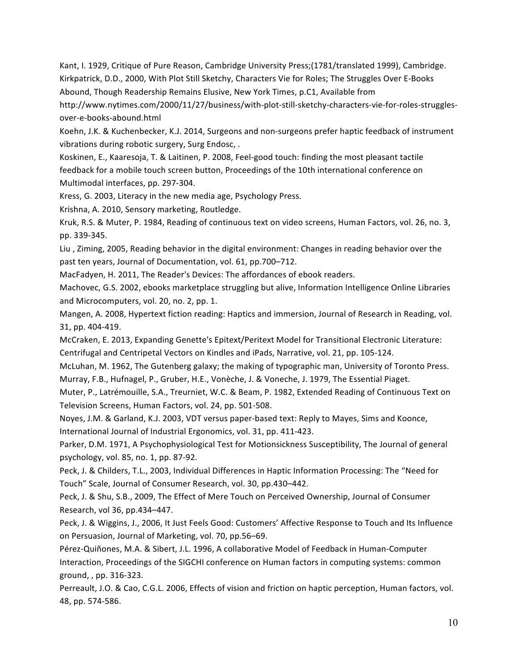Kant, I. 1929, Critique of Pure Reason, Cambridge University Press;(1781/translated 1999), Cambridge. Kirkpatrick, D.D., 2000, With Plot Still Sketchy, Characters Vie for Roles; The Struggles Over E-Books Abound, Though Readership Remains Elusive, New York Times, p.C1, Available from

http://www.nytimes.com/2000/11/27/business/with-plot-still-sketchy-characters-vie-for-roles-strugglesover-e-books-abound.html

Koehn, J.K. & Kuchenbecker, K.J. 2014, Surgeons and non-surgeons prefer haptic feedback of instrument vibrations during robotic surgery, Surg Endosc,.

Koskinen, E., Kaaresoja, T. & Laitinen, P. 2008, Feel-good touch: finding the most pleasant tactile feedback for a mobile touch screen button, Proceedings of the 10th international conference on Multimodal interfaces, pp. 297-304.

Kress, G. 2003, Literacy in the new media age, Psychology Press.

Krishna, A. 2010, Sensory marketing, Routledge.

Kruk, R.S. & Muter, P. 1984, Reading of continuous text on video screens, Human Factors, vol. 26, no. 3, pp. 339-345.

Liu, Ziming, 2005, Reading behavior in the digital environment: Changes in reading behavior over the past ten years, Journal of Documentation, vol. 61, pp.700–712.

MacFadyen, H. 2011, The Reader's Devices: The affordances of ebook readers.

Machovec, G.S. 2002, ebooks marketplace struggling but alive, Information Intelligence Online Libraries and Microcomputers, vol. 20, no. 2, pp. 1.

Mangen, A. 2008, Hypertext fiction reading: Haptics and immersion, Journal of Research in Reading, vol. 31, pp. 404-419.

McCraken, E. 2013, Expanding Genette's Epitext/Peritext Model for Transitional Electronic Literature: Centrifugal and Centripetal Vectors on Kindles and iPads, Narrative, vol. 21, pp. 105-124.

McLuhan, M. 1962, The Gutenberg galaxy; the making of typographic man, University of Toronto Press. Murray, F.B., Hufnagel, P., Gruber, H.E., Vonèche, J. & Voneche, J. 1979, The Essential Piaget.

Muter, P., Latrémouille, S.A., Treurniet, W.C. & Beam, P. 1982, Extended Reading of Continuous Text on Television Screens, Human Factors, vol. 24, pp. 501-508.

Noyes, J.M. & Garland, K.J. 2003, VDT versus paper-based text: Reply to Mayes, Sims and Koonce, International Journal of Industrial Ergonomics, vol. 31, pp. 411-423.

Parker, D.M. 1971, A Psychophysiological Test for Motionsickness Susceptibility, The Journal of general psychology, vol. 85, no. 1, pp. 87-92.

Peck, J. & Childers, T.L., 2003, Individual Differences in Haptic Information Processing: The "Need for Touch" Scale, Journal of Consumer Research, vol. 30, pp.430-442.

Peck, J. & Shu, S.B., 2009, The Effect of Mere Touch on Perceived Ownership, Journal of Consumer Research, vol 36, pp.434-447.

Peck, J. & Wiggins, J., 2006, It Just Feels Good: Customers' Affective Response to Touch and Its Influence on Persuasion, Journal of Marketing, vol. 70, pp.56–69.

Pérez-Quiñones, M.A. & Sibert, J.L. 1996, A collaborative Model of Feedback in Human-Computer Interaction, Proceedings of the SIGCHI conference on Human factors in computing systems: common ground, , pp. 316-323.

Perreault, J.O. & Cao, C.G.L. 2006, Effects of vision and friction on haptic perception, Human factors, vol. 48, pp. 574-586.